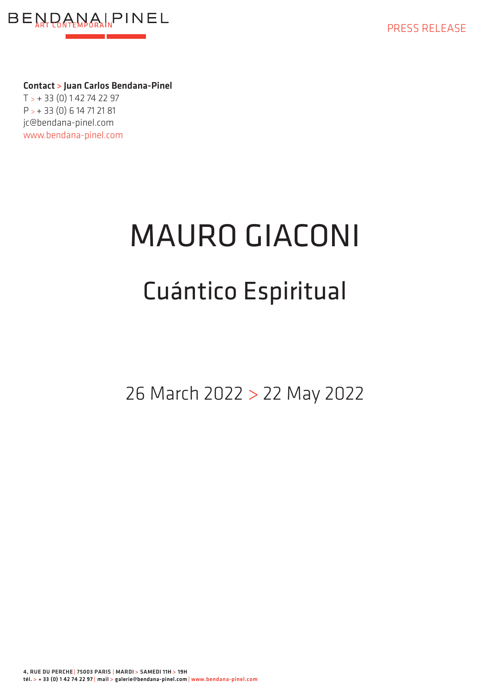

Contact > Juan Carlos Bendana-Pinel  $T > +33(0)1427427$ P > + 33 (0) 6 14 71 21 81 jc@bendana-pinel.com www.bendana-pinel.com

## MAURO GIACONI Cuántico Espiritual

26 March 2022 > 22 May 2022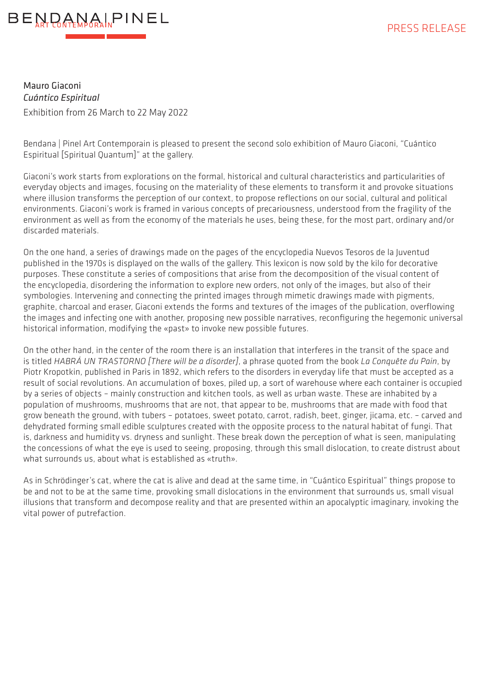

Mauro Giaconi *Cuántico Espiritual* Exhibition from 26 March to 22 May 2022

Bendana | Pinel Art Contemporain is pleased to present the second solo exhibition of Mauro Giaconi, "Cuántico Espiritual [Spiritual Quantum]" at the gallery.

Giaconi's work starts from explorations on the formal, historical and cultural characteristics and particularities of everyday objects and images, focusing on the materiality of these elements to transform it and provoke situations where illusion transforms the perception of our context, to propose reflections on our social, cultural and political environments. Giaconi's work is framed in various concepts of precariousness, understood from the fragility of the environment as well as from the economy of the materials he uses, being these, for the most part, ordinary and/or discarded materials.

On the one hand, a series of drawings made on the pages of the encyclopedia Nuevos Tesoros de la Juventud published in the 1970s is displayed on the walls of the gallery. This lexicon is now sold by the kilo for decorative purposes. These constitute a series of compositions that arise from the decomposition of the visual content of the encyclopedia, disordering the information to explore new orders, not only of the images, but also of their symbologies. Intervening and connecting the printed images through mimetic drawings made with pigments, graphite, charcoal and eraser, Giaconi extends the forms and textures of the images of the publication, overflowing the images and infecting one with another, proposing new possible narratives, reconfiguring the hegemonic universal historical information, modifying the «past» to invoke new possible futures.

On the other hand, in the center of the room there is an installation that interferes in the transit of the space and is titled *HABRÁ UN TRASTORNO [There will be a disorder]*, a phrase quoted from the book *La Conquête du Pain*, by Piotr Kropotkin, published in Paris in 1892, which refers to the disorders in everyday life that must be accepted as a result of social revolutions. An accumulation of boxes, piled up, a sort of warehouse where each container is occupied by a series of objects – mainly construction and kitchen tools, as well as urban waste. These are inhabited by a population of mushrooms, mushrooms that are not, that appear to be, mushrooms that are made with food that grow beneath the ground, with tubers – potatoes, sweet potato, carrot, radish, beet, ginger, jicama, etc. – carved and dehydrated forming small edible sculptures created with the opposite process to the natural habitat of fungi. That is, darkness and humidity vs. dryness and sunlight. These break down the perception of what is seen, manipulating the concessions of what the eye is used to seeing, proposing, through this small dislocation, to create distrust about what surrounds us, about what is established as «truth».

As in Schrödinger's cat, where the cat is alive and dead at the same time, in "Cuántico Espiritual" things propose to be and not to be at the same time, provoking small dislocations in the environment that surrounds us, small visual illusions that transform and decompose reality and that are presented within an apocalyptic imaginary, invoking the vital power of putrefaction.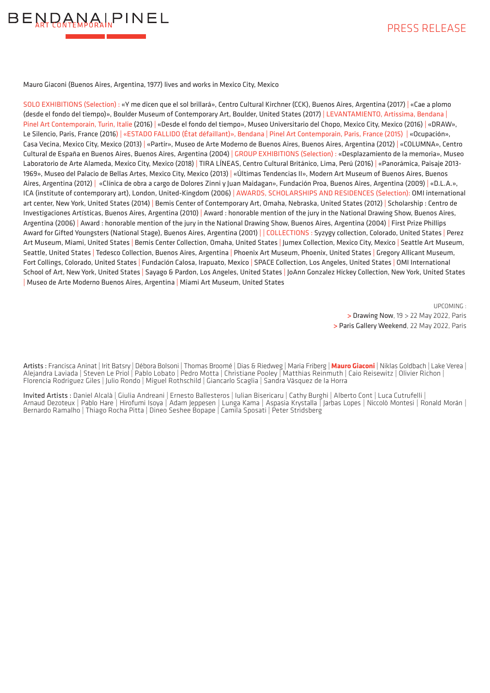

Mauro Giaconi (Buenos Aires, Argentina, 1977) lives and works in Mexico City, Mexico

SOLO EXHIBITIONS (Selection) : «Y me dicen que el sol brillará», Centro Cultural Kirchner (CCK), Buenos Aires, Argentina (2017) | «Cae a plomo (desde el fondo del tiempo)», Boulder Museum of Contemporary Art, Boulder, United States (2017) | LEVANTAMIENTO, Artissima, Bendana | Pinel Art Contemporain, Turin, Italie (2016) | «Desde el fondo del tiempo», Museo Universitario del Chopo, Mexico City, Mexico (2016) | «DRAW», Le Silencio, Paris, France (2016) | «ESTADO FALLIDO (État défaillant)», Bendana | Pinel Art Contemporain, Paris, France (2015) | «Ocupación», Casa Vecina, Mexico City, Mexico (2013) | «Partir», Museo de Arte Moderno de Buenos Aires, Buenos Aires, Argentina (2012) | «COLUMNA», Centro Cultural de España en Buenos Aires, Buenos Aires, Argentina (2004) | GROUP EXHIBITIONS (Selection) : «Desplazamiento de la memoria», Museo Laboratorio de Arte Alameda, Mexico City, Mexico (2018) | TIRA LÍNEAS, Centro Cultural Británico, Lima, Perú (2016) | «Panorámica, Paisaje 2013- 1969», Museo del Palacio de Bellas Artes, Mexico City, Mexico (2013) | «Últimas Tendencias II», Modern Art Museum of Buenos Aires, Buenos Aires, Argentina (2012) | «Clínica de obra a cargo de Dolores Zinni y Juan Maidagan», Fundación Proa, Buenos Aires, Argentina (2009) | «D.L.A.», ICA (institute of contemporary art), London, United-Kingdom (2006) | AWARDS, SCHOLARSHIPS AND RESIDENCES (Selection): OMI international art center, New York, United States (2014) | Bemis Center of Contemporary Art, Omaha, Nebraska, United States (2012) | Scholarship : Centro de Investigaciones Artísticas, Buenos Aires, Argentina (2010) | Award : honorable mention of the jury in the National Drawing Show, Buenos Aires, Argentina (2006) | Award : honorable mention of the jury in the National Drawing Show, Buenos Aires, Argentina (2004) | First Prize Phillips Award for Gifted Youngsters (National Stage), Buenos Aires, Argentina (2001) | | COLLECTIONS : Syzygy collection, Colorado, United States | Perez Art Museum, Miami, United States | Bemis Center Collection, Omaha, United States | Jumex Collection, Mexico City, Mexico | Seattle Art Museum, Seattle, United States | Tedesco Collection, Buenos Aires, Argentina | Phoenix Art Museum, Phoenix, United States | Gregory Allicant Museum, Fort Collings, Colorado, United States | Fundación Calosa, Irapuato, Mexico | SPACE Collection, Los Angeles, United States | OMI International School of Art, New York, United States | Sayago & Pardon, Los Angeles, United States | JoAnn Gonzalez Hickey Collection, New York, United States | Museo de Arte Moderno Buenos Aires, Argentina | Miami Art Museum, United States

> UPCOMING : > Drawing Now, 19 > 22 May 2022, Paris > Paris Gallery Weekend, 22 May 2022, Paris

Artists : Francisca Aninat | Irit Batsry | Débora Bolsoni | Thomas Broomé | Dias & Riedweg | Maria Friberg | **Mauro Giaconi** | Niklas Goldbach | Lake Verea | Alejandra Laviada | Steven Le Priol | Pablo Lobato | Pedro Motta | Christiane Pooley | Matthias Reinmuth | Caio Reisewitz | Olivier Richon | Florencia Rodriguez Giles | Julio Rondo | Miguel Rothschild | Giancarlo Scaglia | Sandra Vásquez de la Horra

Invited Artists : Daniel Alcalà | Giulia Andreani | Ernesto Ballesteros | Iulian Bisericaru | Cathy Burghi | Alberto Cont | Luca Cutrufelli | Arnaud Dezoteux | Pablo Hare | Hirofumi Isoya | Adam Jeppesen | Lunga Kama | Aspasia Krystalla | Jarbas Lopes | Niccolò Montesi | Ronald Morán | Bernardo Ramalho | Thiago Rocha Pitta | Dineo Seshee Bopape | Camila Sposati | Peter Stridsberg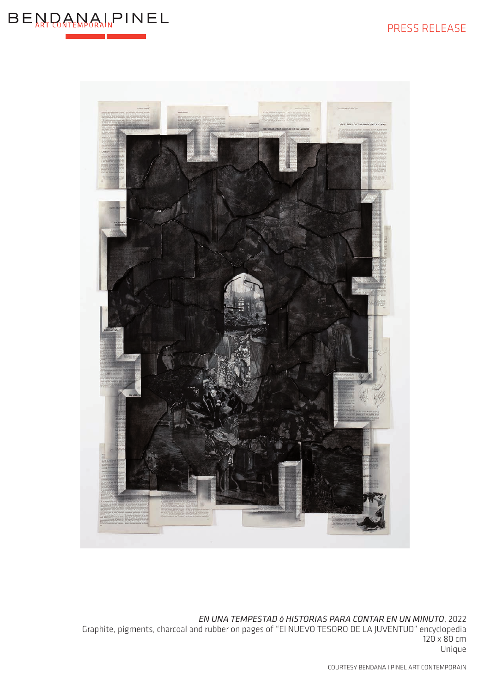



*EN UNA TEMPESTAD ó HISTORIAS PARA CONTAR EN UN MINUTO*, 2022 Graphite, pigments, charcoal and rubber on pages of "El NUEVO TESORO DE LA JUVENTUD" encyclopedia 120 x 80 cm Unique

COURTESY BENDANA I PINEL ART CONTEMPORAIN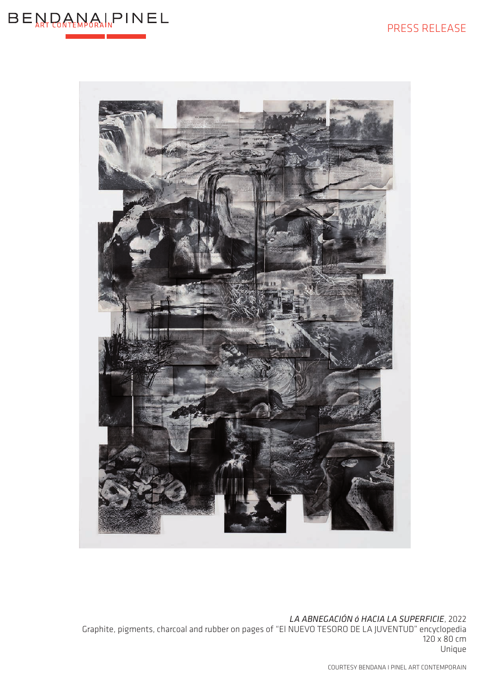



*LA ABNEGACIÓN ó HACIA LA SUPERFICIE*, 2022

Graphite, pigments, charcoal and rubber on pages of "El NUEVO TESORO DE LA JUVENTUD" encyclopedia 120 x 80 cm Unique

COURTESY BENDANA I PINEL ART CONTEMPORAIN